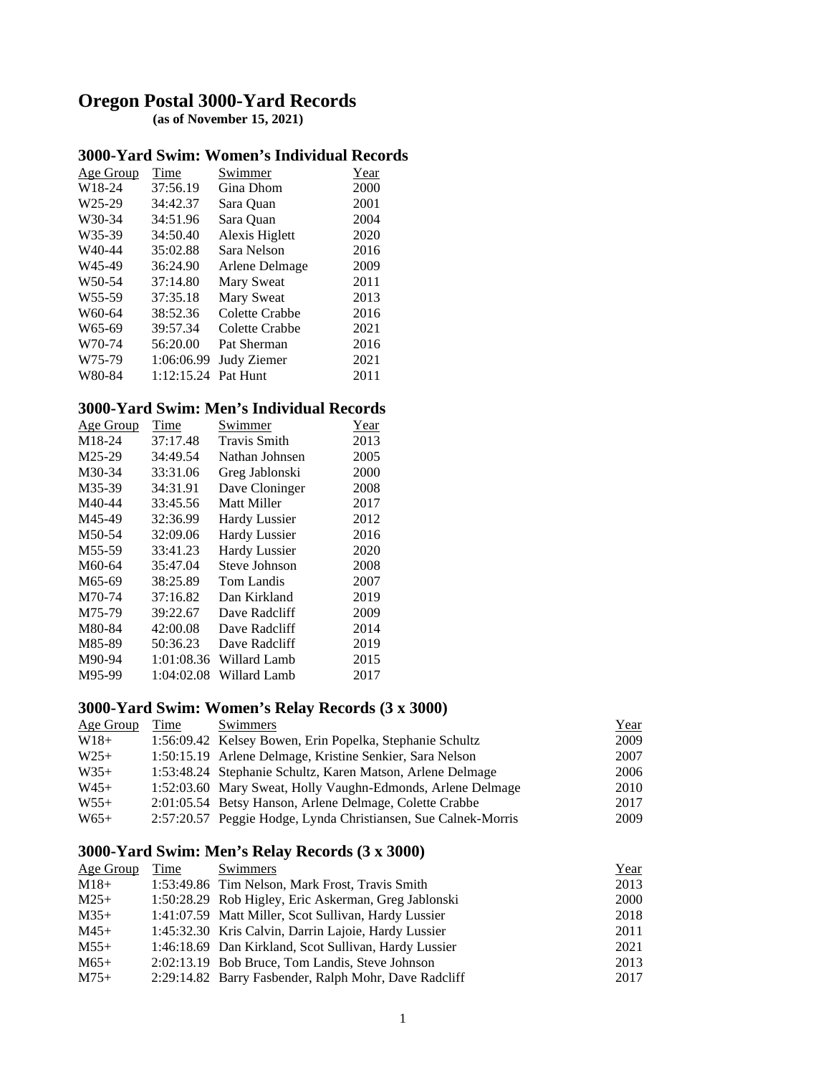# **Oregon Postal 3000-Yard Records (as of November 15, 2021)**

#### **3000-Yard Swim: Women's Individual Records**

| Age Group           | <b>Time</b> | Swimmer        | Year |
|---------------------|-------------|----------------|------|
| W18-24              | 37:56.19    | Gina Dhom      | 2000 |
| W25-29              | 34:42.37    | Sara Quan      | 2001 |
| W30-34              | 34:51.96    | Sara Quan      | 2004 |
| W35-39              | 34:50.40    | Alexis Higlett | 2020 |
| W <sub>40</sub> -44 | 35:02.88    | Sara Nelson    | 2016 |
| W45-49              | 36:24.90    | Arlene Delmage | 2009 |
| W <sub>50</sub> -54 | 37:14.80    | Mary Sweat     | 2011 |
| W <sub>55</sub> -59 | 37:35.18    | Mary Sweat     | 2013 |
| W60-64              | 38:52.36    | Colette Crabbe | 2016 |
| W <sub>65-69</sub>  | 39:57.34    | Colette Crabbe | 2021 |
| W70-74              | 56:20.00    | Pat Sherman    | 2016 |
| W75-79              | 1:06:06.99  | Judy Ziemer    | 2021 |
| W80-84              | 1:12:15.24  | Pat Hunt       | 2011 |

### **3000-Yard Swim: Men's Individual Records**

| Age Group           | Time       | Swimmer              | Year |
|---------------------|------------|----------------------|------|
| M18-24              | 37:17.48   | <b>Travis Smith</b>  | 2013 |
| M25-29              | 34:49.54   | Nathan Johnsen       | 2005 |
| M30-34              | 33:31.06   | Greg Jablonski       | 2000 |
| M35-39              | 34:31.91   | Dave Cloninger       | 2008 |
| M40-44              | 33:45.56   | Matt Miller          | 2017 |
| M45-49              | 32:36.99   | <b>Hardy Lussier</b> | 2012 |
| M50-54              | 32:09.06   | <b>Hardy Lussier</b> | 2016 |
| M <sub>55</sub> -59 | 33:41.23   | <b>Hardy Lussier</b> | 2020 |
| M60-64              | 35:47.04   | Steve Johnson        | 2008 |
| M65-69              | 38:25.89   | Tom Landis           | 2007 |
| M70-74              | 37:16.82   | Dan Kirkland         | 2019 |
| M75-79              | 39:22.67   | Dave Radcliff        | 2009 |
| M80-84              | 42:00.08   | Dave Radcliff        | 2014 |
| M85-89              | 50:36.23   | Dave Radcliff        | 2019 |
| M90-94              | 1:01:08.36 | Willard Lamb         | 2015 |
| M95-99              | 1:04:02.08 | Willard Lamb         | 2017 |
|                     |            |                      |      |

# **3000-Yard Swim: Women's Relay Records (3 x 3000)**

| Age Group | Time | Swimmers                                                       | <u>Year</u> |
|-----------|------|----------------------------------------------------------------|-------------|
| $W18+$    |      | 1:56:09.42 Kelsey Bowen, Erin Popelka, Stephanie Schultz       | 2009        |
| $W25+$    |      | 1:50:15.19 Arlene Delmage, Kristine Senkier, Sara Nelson       | 2007        |
| $W35+$    |      | 1:53:48.24 Stephanie Schultz, Karen Matson, Arlene Delmage     | 2006        |
| $W45+$    |      | 1:52:03.60 Mary Sweat, Holly Vaughn-Edmonds, Arlene Delmage    | 2010        |
| $W55+$    |      | 2:01:05.54 Betsy Hanson, Arlene Delmage, Colette Crabbe        | 2017        |
| $W65+$    |      | 2:57:20.57 Peggie Hodge, Lynda Christiansen, Sue Calnek-Morris | 2009        |

## **3000-Yard Swim: Men's Relay Records (3 x 3000)**

| Time | Swimmers | Year                                                                                                                                                                                                                                                                                                                                                                                         |
|------|----------|----------------------------------------------------------------------------------------------------------------------------------------------------------------------------------------------------------------------------------------------------------------------------------------------------------------------------------------------------------------------------------------------|
|      |          | 2013                                                                                                                                                                                                                                                                                                                                                                                         |
|      |          | 2000                                                                                                                                                                                                                                                                                                                                                                                         |
|      |          | 2018                                                                                                                                                                                                                                                                                                                                                                                         |
|      |          | 2011                                                                                                                                                                                                                                                                                                                                                                                         |
|      |          | 2021                                                                                                                                                                                                                                                                                                                                                                                         |
|      |          | 2013                                                                                                                                                                                                                                                                                                                                                                                         |
|      |          | 2017                                                                                                                                                                                                                                                                                                                                                                                         |
|      |          | 1:53:49.86 Tim Nelson, Mark Frost, Travis Smith<br>1:50:28.29 Rob Higley, Eric Askerman, Greg Jablonski<br>1:41:07.59 Matt Miller, Scot Sullivan, Hardy Lussier<br>1:45:32.30 Kris Calvin, Darrin Lajoie, Hardy Lussier<br>1:46:18.69 Dan Kirkland, Scot Sullivan, Hardy Lussier<br>2:02:13.19 Bob Bruce, Tom Landis, Steve Johnson<br>2:29:14.82 Barry Fasbender, Ralph Mohr, Dave Radcliff |